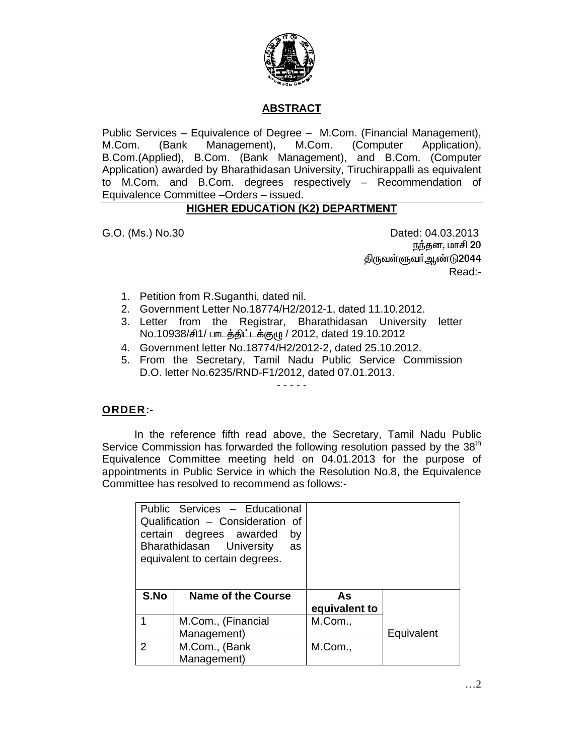

## **ABSTRACT**

Public Services – Equivalence of Degree – M.Com. (Financial Management), M.Com. (Bank Management), M.Com. (Computer Application), B.Com.(Applied), B.Com. (Bank Management), and B.Com. (Computer Application) awarded by Bharathidasan University, Tiruchirappalli as equivalent to M.Com. and B.Com. degrees respectively – Recommendation of Equivalence Committee –Orders – issued.

## **HIGHER EDUCATION (K2) DEPARTMENT**

G.O. (Ms.) No.30 Dated: 04.03.2013 நந்தன, மாசி 20 <u>கிருவள்ளுவர் ஆண்டு2044</u> Read:-

- 1. Petition from R.Suganthi, dated nil.
- 2. Government Letter No.18774/H2/2012-1, dated 11.10.2012.
- 3. Letter from the Registrar, Bharathidasan University letter No.10938/சி1/ பாடத்திட்டக்குழு / 2012, dated 19.10.2012
- 4. Government letter No.18774/H2/2012-2, dated 25.10.2012.
- 5. From the Secretary, Tamil Nadu Public Service Commission D.O. letter No.6235/RND-F1/2012, dated 07.01.2013.

- - - - -

## **ORDER:-**

 In the reference fifth read above, the Secretary, Tamil Nadu Public Service Commission has forwarded the following resolution passed by the 38<sup>th</sup> Equivalence Committee meeting held on 04.01.2013 for the purpose of appointments in Public Service in which the Resolution No.8, the Equivalence Committee has resolved to recommend as follows:-

|      | Public Services - Educational<br>Qualification - Consideration of<br>certain degrees awarded<br>by<br>Bharathidasan University<br>as<br>equivalent to certain degrees. |               |            |
|------|------------------------------------------------------------------------------------------------------------------------------------------------------------------------|---------------|------------|
| S.No | Name of the Course                                                                                                                                                     | As            |            |
|      |                                                                                                                                                                        | equivalent to |            |
|      | M.Com., (Financial                                                                                                                                                     | M.Com.,       |            |
|      | Management)                                                                                                                                                            |               | Equivalent |
| 2    | M.Com., (Bank                                                                                                                                                          | M.Com.,       |            |
|      | Management)                                                                                                                                                            |               |            |